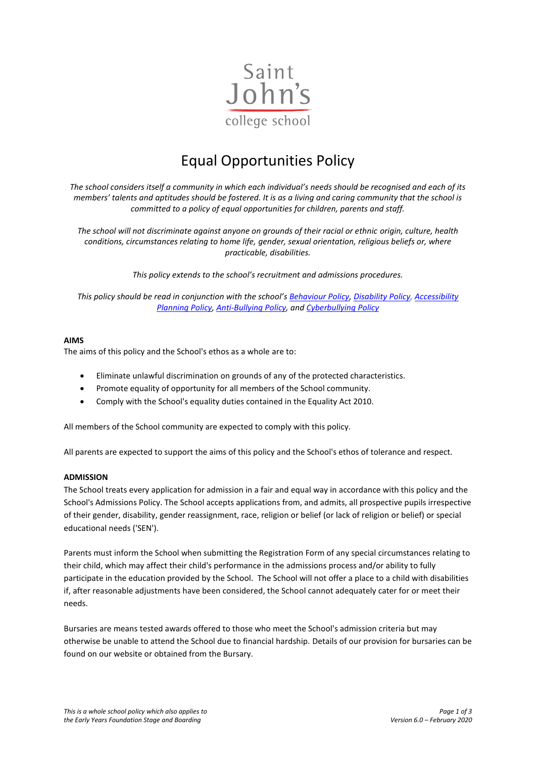

# Equal Opportunities Policy

*The school considers itself a community in which each individual's needs should be recognised and each of its members' talents and aptitudes should be fostered. It is as a living and caring community that the school is committed to a policy of equal opportunities for children, parents and staff.*

*The school will not discriminate against anyone on grounds of their racial or ethnic origin, culture, health conditions, circumstances relating to home life, gender, sexual orientation, religious beliefs or, where practicable, disabilities.*

*This policy extends to the school's recruitment and admissions procedures.*

*This policy should be read in conjunction with the school'[s Behaviour Policy,](https://www.sjcs.co.uk/sites/default/files/styles/Policies/SJCS%20Behaviour%20Policy.pdf) [Disability Policy,](https://www.sjcs.co.uk/sites/default/files/styles/Policies/SJCS%20Disability%20Policy.pdf) [Accessibility](https://www.sjcs.co.uk/sites/default/files/styles/Policies/SJCS%20Accessibility%20Policy.pdf)  [Planning Policy,](https://www.sjcs.co.uk/sites/default/files/styles/Policies/SJCS%20Accessibility%20Policy.pdf) [Anti-Bullying Policy,](https://www.sjcs.co.uk/sites/default/files/styles/Policies/SJCS%20Anti-Bullying%20Policy.pdf) and [Cyberbullying Policy](https://www.sjcs.co.uk/sites/default/files/styles/Policies/SJCS%20Cyberbullying%20Policy.pdf)*

## **AIMS**

The aims of this policy and the School's ethos as a whole are to:

- Eliminate unlawful discrimination on grounds of any of the protected characteristics.
- Promote equality of opportunity for all members of the School community.
- Comply with the School's equality duties contained in the Equality Act 2010.

All members of the School community are expected to comply with this policy.

All parents are expected to support the aims of this policy and the School's ethos of tolerance and respect.

#### **ADMISSION**

The School treats every application for admission in a fair and equal way in accordance with this policy and the School's Admissions Policy. The School accepts applications from, and admits, all prospective pupils irrespective of their gender, disability, gender reassignment, race, religion or belief (or lack of religion or belief) or special educational needs ('SEN').

Parents must inform the School when submitting the Registration Form of any special circumstances relating to their child, which may affect their child's performance in the admissions process and/or ability to fully participate in the education provided by the School. The School will not offer a place to a child with disabilities if, after reasonable adjustments have been considered, the School cannot adequately cater for or meet their needs.

Bursaries are means tested awards offered to those who meet the School's admission criteria but may otherwise be unable to attend the School due to financial hardship. Details of our provision for bursaries can be found on our website or obtained from the Bursary.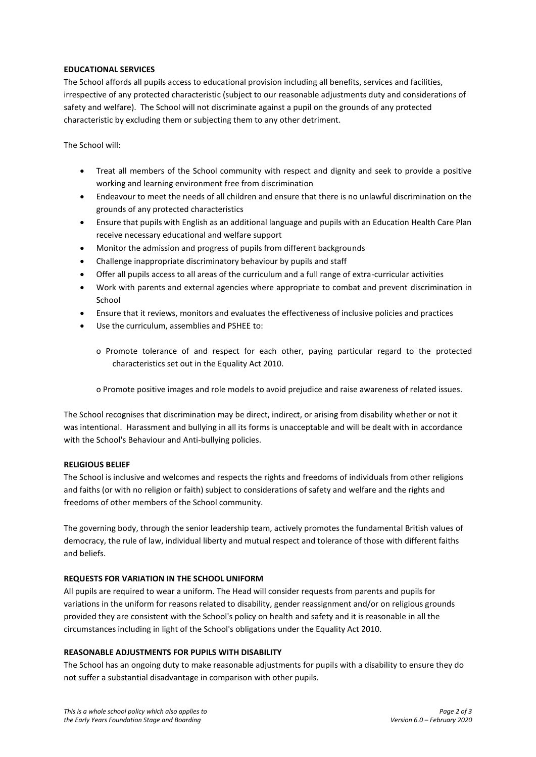## **EDUCATIONAL SERVICES**

The School affords all pupils access to educational provision including all benefits, services and facilities, irrespective of any protected characteristic (subject to our reasonable adjustments duty and considerations of safety and welfare). The School will not discriminate against a pupil on the grounds of any protected characteristic by excluding them or subjecting them to any other detriment.

The School will:

- Treat all members of the School community with respect and dignity and seek to provide a positive working and learning environment free from discrimination
- Endeavour to meet the needs of all children and ensure that there is no unlawful discrimination on the grounds of any protected characteristics
- Ensure that pupils with English as an additional language and pupils with an Education Health Care Plan receive necessary educational and welfare support
- Monitor the admission and progress of pupils from different backgrounds
- Challenge inappropriate discriminatory behaviour by pupils and staff
- Offer all pupils access to all areas of the curriculum and a full range of extra-curricular activities
- Work with parents and external agencies where appropriate to combat and prevent discrimination in School
- Ensure that it reviews, monitors and evaluates the effectiveness of inclusive policies and practices
- Use the curriculum, assemblies and PSHEE to:
	- o Promote tolerance of and respect for each other, paying particular regard to the protected characteristics set out in the Equality Act 2010.
	- o Promote positive images and role models to avoid prejudice and raise awareness of related issues.

The School recognises that discrimination may be direct, indirect, or arising from disability whether or not it was intentional. Harassment and bullying in all its forms is unacceptable and will be dealt with in accordance with the School's Behaviour and Anti-bullying policies.

#### **RELIGIOUS BELIEF**

The School is inclusive and welcomes and respects the rights and freedoms of individuals from other religions and faiths (or with no religion or faith) subject to considerations of safety and welfare and the rights and freedoms of other members of the School community.

The governing body, through the senior leadership team, actively promotes the fundamental British values of democracy, the rule of law, individual liberty and mutual respect and tolerance of those with different faiths and beliefs.

#### **REQUESTS FOR VARIATION IN THE SCHOOL UNIFORM**

All pupils are required to wear a uniform. The Head will consider requests from parents and pupils for variations in the uniform for reasons related to disability, gender reassignment and/or on religious grounds provided they are consistent with the School's policy on health and safety and it is reasonable in all the circumstances including in light of the School's obligations under the Equality Act 2010.

#### **REASONABLE ADJUSTMENTS FOR PUPILS WITH DISABILITY**

The School has an ongoing duty to make reasonable adjustments for pupils with a disability to ensure they do not suffer a substantial disadvantage in comparison with other pupils.